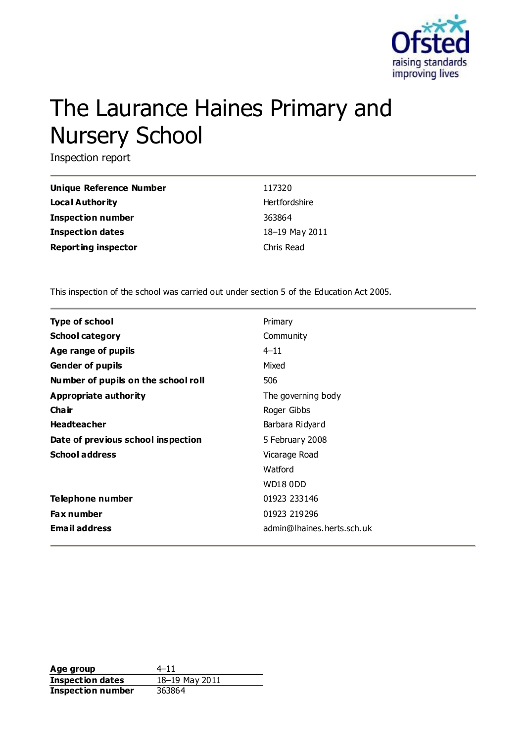

# The Laurance Haines Primary and Nursery School

Inspection report

| <b>Unique Reference Number</b> | 117320         |
|--------------------------------|----------------|
| <b>Local Authority</b>         | Hertfordshire  |
| <b>Inspection number</b>       | 363864         |
| <b>Inspection dates</b>        | 18-19 May 2011 |
| <b>Reporting inspector</b>     | Chris Read     |

This inspection of the school was carried out under section 5 of the Education Act 2005.

| <b>Type of school</b>               | Primary                    |
|-------------------------------------|----------------------------|
| <b>School category</b>              | Community                  |
| Age range of pupils                 | $4 - 11$                   |
| <b>Gender of pupils</b>             | Mixed                      |
| Number of pupils on the school roll | 506                        |
| Appropriate authority               | The governing body         |
| Cha ir                              | Roger Gibbs                |
| <b>Headteacher</b>                  | Barbara Ridyard            |
| Date of previous school inspection  | 5 February 2008            |
| <b>School address</b>               | Vicarage Road              |
|                                     | Watford                    |
|                                     | <b>WD18 0DD</b>            |
| Telephone number                    | 01923 233146               |
| <b>Fax number</b>                   | 01923 219296               |
| <b>Email address</b>                | admin@lhaines.herts.sch.uk |

**Age group** 4–11 **Inspection dates** 18–19 May 2011 **Inspection number** 363864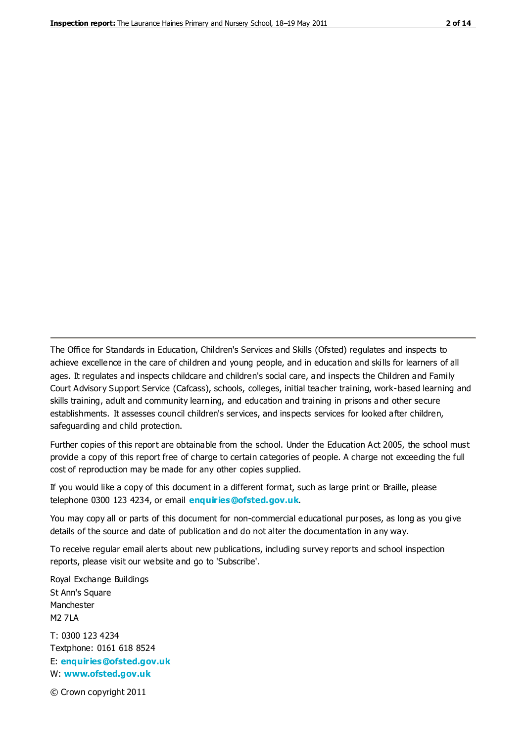The Office for Standards in Education, Children's Services and Skills (Ofsted) regulates and inspects to achieve excellence in the care of children and young people, and in education and skills for learners of all ages. It regulates and inspects childcare and children's social care, and inspects the Children and Family Court Advisory Support Service (Cafcass), schools, colleges, initial teacher training, work-based learning and skills training, adult and community learning, and education and training in prisons and other secure establishments. It assesses council children's services, and inspects services for looked after children, safeguarding and child protection.

Further copies of this report are obtainable from the school. Under the Education Act 2005, the school must provide a copy of this report free of charge to certain categories of people. A charge not exceeding the full cost of reproduction may be made for any other copies supplied.

If you would like a copy of this document in a different format, such as large print or Braille, please telephone 0300 123 4234, or email **[enquiries@ofsted.gov.uk](mailto:enquiries@ofsted.gov.uk)**.

You may copy all or parts of this document for non-commercial educational purposes, as long as you give details of the source and date of publication and do not alter the documentation in any way.

To receive regular email alerts about new publications, including survey reports and school inspection reports, please visit our website and go to 'Subscribe'.

Royal Exchange Buildings St Ann's Square Manchester M2 7LA T: 0300 123 4234 Textphone: 0161 618 8524 E: **[enquiries@ofsted.gov.uk](mailto:enquiries@ofsted.gov.uk)**

W: **[www.ofsted.gov.uk](http://www.ofsted.gov.uk/)**

© Crown copyright 2011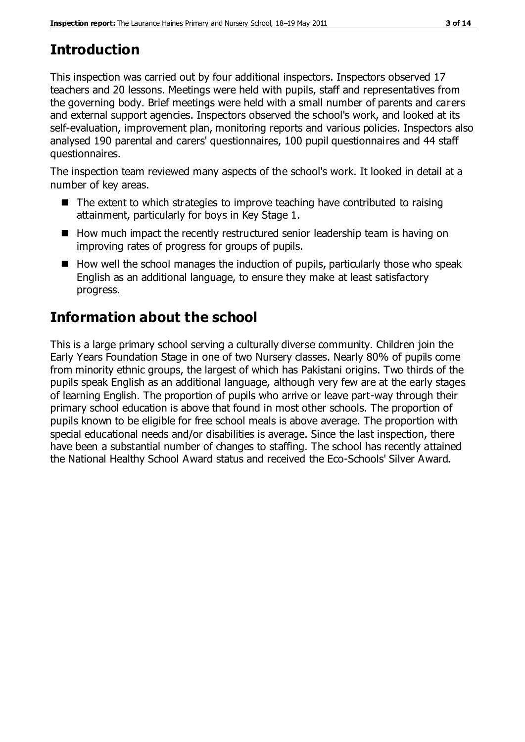# **Introduction**

This inspection was carried out by four additional inspectors. Inspectors observed 17 teachers and 20 lessons. Meetings were held with pupils, staff and representatives from the governing body. Brief meetings were held with a small number of parents and carers and external support agencies. Inspectors observed the school's work, and looked at its self-evaluation, improvement plan, monitoring reports and various policies. Inspectors also analysed 190 parental and carers' questionnaires, 100 pupil questionnaires and 44 staff questionnaires.

The inspection team reviewed many aspects of the school's work. It looked in detail at a number of key areas.

- The extent to which strategies to improve teaching have contributed to raising attainment, particularly for boys in Key Stage 1.
- How much impact the recently restructured senior leadership team is having on improving rates of progress for groups of pupils.
- $\blacksquare$  How well the school manages the induction of pupils, particularly those who speak English as an additional language, to ensure they make at least satisfactory progress.

# **Information about the school**

This is a large primary school serving a culturally diverse community. Children join the Early Years Foundation Stage in one of two Nursery classes. Nearly 80% of pupils come from minority ethnic groups, the largest of which has Pakistani origins. Two thirds of the pupils speak English as an additional language, although very few are at the early stages of learning English. The proportion of pupils who arrive or leave part-way through their primary school education is above that found in most other schools. The proportion of pupils known to be eligible for free school meals is above average. The proportion with special educational needs and/or disabilities is average. Since the last inspection, there have been a substantial number of changes to staffing. The school has recently attained the National Healthy School Award status and received the Eco-Schools' Silver Award.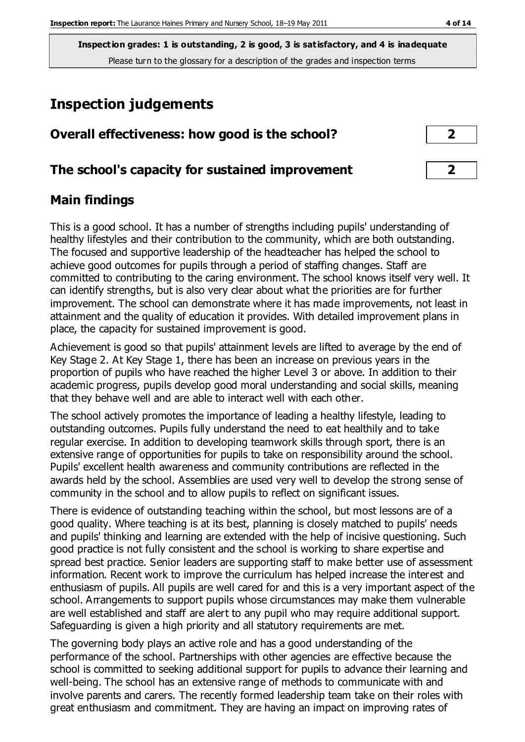# **Inspection judgements**

| Overall effectiveness: how good is the school?  |  |  |
|-------------------------------------------------|--|--|
| The school's capacity for sustained improvement |  |  |

## **Main findings**

This is a good school. It has a number of strengths including pupils' understanding of healthy lifestyles and their contribution to the community, which are both outstanding. The focused and supportive leadership of the headteacher has helped the school to achieve good outcomes for pupils through a period of staffing changes. Staff are committed to contributing to the caring environment. The school knows itself very well. It can identify strengths, but is also very clear about what the priorities are for further improvement. The school can demonstrate where it has made improvements, not least in attainment and the quality of education it provides. With detailed improvement plans in place, the capacity for sustained improvement is good.

Achievement is good so that pupils' attainment levels are lifted to average by the end of Key Stage 2. At Key Stage 1, there has been an increase on previous years in the proportion of pupils who have reached the higher Level 3 or above. In addition to their academic progress, pupils develop good moral understanding and social skills, meaning that they behave well and are able to interact well with each other.

The school actively promotes the importance of leading a healthy lifestyle, leading to outstanding outcomes. Pupils fully understand the need to eat healthily and to take regular exercise. In addition to developing teamwork skills through sport, there is an extensive range of opportunities for pupils to take on responsibility around the school. Pupils' excellent health awareness and community contributions are reflected in the awards held by the school. Assemblies are used very well to develop the strong sense of community in the school and to allow pupils to reflect on significant issues.

There is evidence of outstanding teaching within the school, but most lessons are of a good quality. Where teaching is at its best, planning is closely matched to pupils' needs and pupils' thinking and learning are extended with the help of incisive questioning. Such good practice is not fully consistent and the school is working to share expertise and spread best practice. Senior leaders are supporting staff to make better use of assessment information. Recent work to improve the curriculum has helped increase the interest and enthusiasm of pupils. All pupils are well cared for and this is a very important aspect of the school. Arrangements to support pupils whose circumstances may make them vulnerable are well established and staff are alert to any pupil who may require additional support. Safeguarding is given a high priority and all statutory requirements are met.

The governing body plays an active role and has a good understanding of the performance of the school. Partnerships with other agencies are effective because the school is committed to seeking additional support for pupils to advance their learning and well-being. The school has an extensive range of methods to communicate with and involve parents and carers. The recently formed leadership team take on their roles with great enthusiasm and commitment. They are having an impact on improving rates of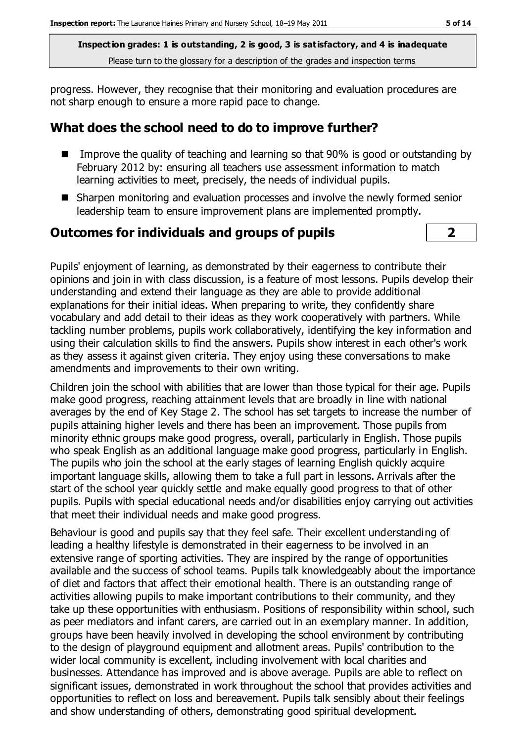progress. However, they recognise that their monitoring and evaluation procedures are not sharp enough to ensure a more rapid pace to change.

## **What does the school need to do to improve further?**

- Improve the quality of teaching and learning so that 90% is good or outstanding by February 2012 by: ensuring all teachers use assessment information to match learning activities to meet, precisely, the needs of individual pupils.
- Sharpen monitoring and evaluation processes and involve the newly formed senior leadership team to ensure improvement plans are implemented promptly.

#### **Outcomes for individuals and groups of pupils 2**

Pupils' enjoyment of learning, as demonstrated by their eagerness to contribute their opinions and join in with class discussion, is a feature of most lessons. Pupils develop their understanding and extend their language as they are able to provide additional explanations for their initial ideas. When preparing to write, they confidently share vocabulary and add detail to their ideas as they work cooperatively with partners. While tackling number problems, pupils work collaboratively, identifying the key information and using their calculation skills to find the answers. Pupils show interest in each other's work as they assess it against given criteria. They enjoy using these conversations to make amendments and improvements to their own writing.

Children join the school with abilities that are lower than those typical for their age. Pupils make good progress, reaching attainment levels that are broadly in line with national averages by the end of Key Stage 2. The school has set targets to increase the number of pupils attaining higher levels and there has been an improvement. Those pupils from minority ethnic groups make good progress, overall, particularly in English. Those pupils who speak English as an additional language make good progress, particularly in English. The pupils who join the school at the early stages of learning English quickly acquire important language skills, allowing them to take a full part in lessons. Arrivals after the start of the school year quickly settle and make equally good progress to that of other pupils. Pupils with special educational needs and/or disabilities enjoy carrying out activities that meet their individual needs and make good progress.

Behaviour is good and pupils say that they feel safe. Their excellent understanding of leading a healthy lifestyle is demonstrated in their eagerness to be involved in an extensive range of sporting activities. They are inspired by the range of opportunities available and the success of school teams. Pupils talk knowledgeably about the importance of diet and factors that affect their emotional health. There is an outstanding range of activities allowing pupils to make important contributions to their community, and they take up these opportunities with enthusiasm. Positions of responsibility within school, such as peer mediators and infant carers, are carried out in an exemplary manner. In addition, groups have been heavily involved in developing the school environment by contributing to the design of playground equipment and allotment areas. Pupils' contribution to the wider local community is excellent, including involvement with local charities and businesses. Attendance has improved and is above average. Pupils are able to reflect on significant issues, demonstrated in work throughout the school that provides activities and opportunities to reflect on loss and bereavement. Pupils talk sensibly about their feelings and show understanding of others, demonstrating good spiritual development.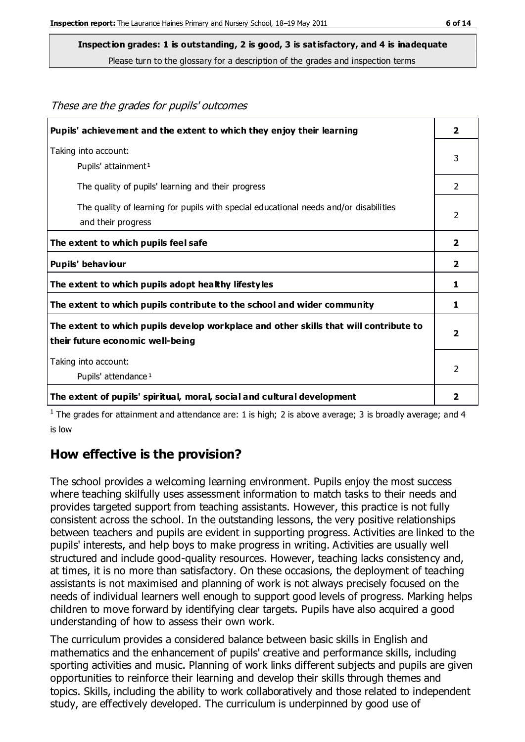These are the grades for pupils' outcomes

**Inspection grades: 1 is outstanding, 2 is good, 3 is satisfactory, and 4 is inadequate**

Please turn to the glossary for a description of the grades and inspection terms

| Pupils' achievement and the extent to which they enjoy their learning                                                     | $\overline{2}$          |
|---------------------------------------------------------------------------------------------------------------------------|-------------------------|
| Taking into account:<br>Pupils' attainment <sup>1</sup>                                                                   | 3                       |
| The quality of pupils' learning and their progress                                                                        | 2                       |
| The quality of learning for pupils with special educational needs and/or disabilities<br>and their progress               | 2                       |
| The extent to which pupils feel safe                                                                                      | $\overline{2}$          |
| Pupils' behaviour                                                                                                         | $\overline{2}$          |
| The extent to which pupils adopt healthy lifestyles                                                                       | 1                       |
| The extent to which pupils contribute to the school and wider community                                                   | 1                       |
| The extent to which pupils develop workplace and other skills that will contribute to<br>their future economic well-being | $\overline{\mathbf{2}}$ |
| Taking into account:<br>Pupils' attendance <sup>1</sup>                                                                   | $\mathcal{P}$           |
| The extent of pupils' spiritual, moral, social and cultural development                                                   |                         |

<sup>1</sup> The grades for attainment and attendance are: 1 is high; 2 is above average; 3 is broadly average; and 4 is low

## **How effective is the provision?**

The school provides a welcoming learning environment. Pupils enjoy the most success where teaching skilfully uses assessment information to match tasks to their needs and provides targeted support from teaching assistants. However, this practice is not fully consistent across the school. In the outstanding lessons, the very positive relationships between teachers and pupils are evident in supporting progress. Activities are linked to the pupils' interests, and help boys to make progress in writing. Activities are usually well structured and include good-quality resources. However, teaching lacks consistency and, at times, it is no more than satisfactory. On these occasions, the deployment of teaching assistants is not maximised and planning of work is not always precisely focused on the needs of individual learners well enough to support good levels of progress. Marking helps children to move forward by identifying clear targets. Pupils have also acquired a good understanding of how to assess their own work.

The curriculum provides a considered balance between basic skills in English and mathematics and the enhancement of pupils' creative and performance skills, including sporting activities and music. Planning of work links different subjects and pupils are given opportunities to reinforce their learning and develop their skills through themes and topics. Skills, including the ability to work collaboratively and those related to independent study, are effectively developed. The curriculum is underpinned by good use of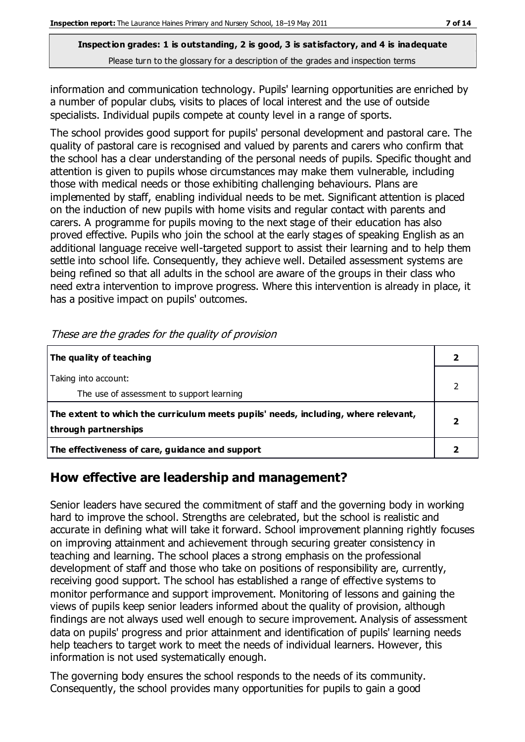information and communication technology. Pupils' learning opportunities are enriched by a number of popular clubs, visits to places of local interest and the use of outside specialists. Individual pupils compete at county level in a range of sports.

The school provides good support for pupils' personal development and pastoral care. The quality of pastoral care is recognised and valued by parents and carers who confirm that the school has a clear understanding of the personal needs of pupils. Specific thought and attention is given to pupils whose circumstances may make them vulnerable, including those with medical needs or those exhibiting challenging behaviours. Plans are implemented by staff, enabling individual needs to be met. Significant attention is placed on the induction of new pupils with home visits and regular contact with parents and carers. A programme for pupils moving to the next stage of their education has also proved effective. Pupils who join the school at the early stages of speaking English as an additional language receive well-targeted support to assist their learning and to help them settle into school life. Consequently, they achieve well. Detailed assessment systems are being refined so that all adults in the school are aware of the groups in their class who need extra intervention to improve progress. Where this intervention is already in place, it has a positive impact on pupils' outcomes.

| The quality of teaching                                                                                    |  |
|------------------------------------------------------------------------------------------------------------|--|
| Taking into account:<br>The use of assessment to support learning                                          |  |
| The extent to which the curriculum meets pupils' needs, including, where relevant,<br>through partnerships |  |
| The effectiveness of care, guidance and support                                                            |  |

These are the grades for the quality of provision

# **How effective are leadership and management?**

Senior leaders have secured the commitment of staff and the governing body in working hard to improve the school. Strengths are celebrated, but the school is realistic and accurate in defining what will take it forward. School improvement planning rightly focuses on improving attainment and achievement through securing greater consistency in teaching and learning. The school places a strong emphasis on the professional development of staff and those who take on positions of responsibility are, currently, receiving good support. The school has established a range of effective systems to monitor performance and support improvement. Monitoring of lessons and gaining the views of pupils keep senior leaders informed about the quality of provision, although findings are not always used well enough to secure improvement. Analysis of assessment data on pupils' progress and prior attainment and identification of pupils' learning needs help teachers to target work to meet the needs of individual learners. However, this information is not used systematically enough.

The governing body ensures the school responds to the needs of its community. Consequently, the school provides many opportunities for pupils to gain a good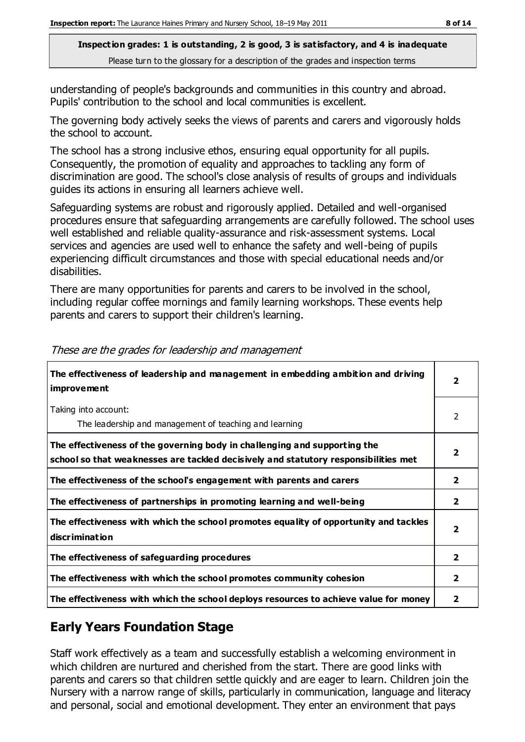understanding of people's backgrounds and communities in this country and abroad. Pupils' contribution to the school and local communities is excellent.

The governing body actively seeks the views of parents and carers and vigorously holds the school to account.

The school has a strong inclusive ethos, ensuring equal opportunity for all pupils. Consequently, the promotion of equality and approaches to tackling any form of discrimination are good. The school's close analysis of results of groups and individuals guides its actions in ensuring all learners achieve well.

Safeguarding systems are robust and rigorously applied. Detailed and well-organised procedures ensure that safeguarding arrangements are carefully followed. The school uses well established and reliable quality-assurance and risk-assessment systems. Local services and agencies are used well to enhance the safety and well-being of pupils experiencing difficult circumstances and those with special educational needs and/or disabilities.

There are many opportunities for parents and carers to be involved in the school, including regular coffee mornings and family learning workshops. These events help parents and carers to support their children's learning.

| The effectiveness of leadership and management in embedding ambition and driving<br><i>improvement</i>                                                           |                         |
|------------------------------------------------------------------------------------------------------------------------------------------------------------------|-------------------------|
| Taking into account:<br>The leadership and management of teaching and learning                                                                                   | $\mathcal{P}$           |
| The effectiveness of the governing body in challenging and supporting the<br>school so that weaknesses are tackled decisively and statutory responsibilities met | 2                       |
| The effectiveness of the school's engagement with parents and carers                                                                                             | $\overline{\mathbf{2}}$ |
| The effectiveness of partnerships in promoting learning and well-being                                                                                           | $\overline{\mathbf{2}}$ |
| The effectiveness with which the school promotes equality of opportunity and tackles<br>discrimination                                                           | $\overline{\mathbf{2}}$ |
| The effectiveness of safeguarding procedures                                                                                                                     | $\overline{\mathbf{2}}$ |
| The effectiveness with which the school promotes community cohesion                                                                                              | 2                       |
| The effectiveness with which the school deploys resources to achieve value for money                                                                             | 2                       |

These are the grades for leadership and management

# **Early Years Foundation Stage**

Staff work effectively as a team and successfully establish a welcoming environment in which children are nurtured and cherished from the start. There are good links with parents and carers so that children settle quickly and are eager to learn. Children join the Nursery with a narrow range of skills, particularly in communication, language and literacy and personal, social and emotional development. They enter an environment that pays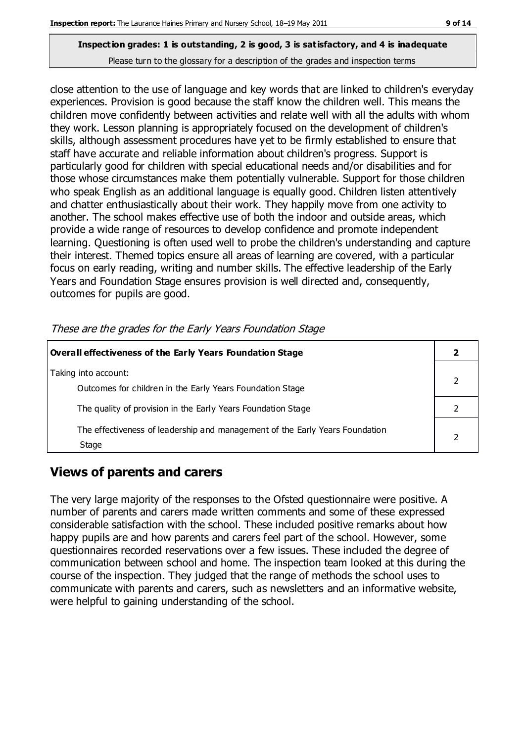close attention to the use of language and key words that are linked to children's everyday experiences. Provision is good because the staff know the children well. This means the children move confidently between activities and relate well with all the adults with whom they work. Lesson planning is appropriately focused on the development of children's skills, although assessment procedures have yet to be firmly established to ensure that staff have accurate and reliable information about children's progress. Support is particularly good for children with special educational needs and/or disabilities and for those whose circumstances make them potentially vulnerable. Support for those children who speak English as an additional language is equally good. Children listen attentively and chatter enthusiastically about their work. They happily move from one activity to another. The school makes effective use of both the indoor and outside areas, which provide a wide range of resources to develop confidence and promote independent learning. Questioning is often used well to probe the children's understanding and capture their interest. Themed topics ensure all areas of learning are covered, with a particular focus on early reading, writing and number skills. The effective leadership of the Early Years and Foundation Stage ensures provision is well directed and, consequently, outcomes for pupils are good.

**Overall effectiveness of the Early Years Foundation Stage 2** Taking into account: Outcomes for children in the Early Years Foundation Stage 2 The quality of provision in the Early Years Foundation Stage **2** 2 The effectiveness of leadership and management of the Early Years Foundation Stage 2

These are the grades for the Early Years Foundation Stage

# **Views of parents and carers**

The very large majority of the responses to the Ofsted questionnaire were positive. A number of parents and carers made written comments and some of these expressed considerable satisfaction with the school. These included positive remarks about how happy pupils are and how parents and carers feel part of the school. However, some questionnaires recorded reservations over a few issues. These included the degree of communication between school and home. The inspection team looked at this during the course of the inspection. They judged that the range of methods the school uses to communicate with parents and carers, such as newsletters and an informative website, were helpful to gaining understanding of the school.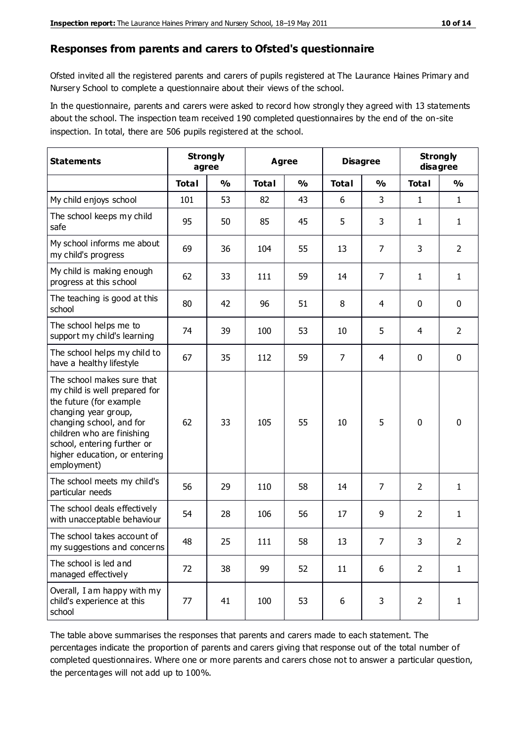#### **Responses from parents and carers to Ofsted's questionnaire**

Ofsted invited all the registered parents and carers of pupils registered at The Laurance Haines Primary and Nursery School to complete a questionnaire about their views of the school.

In the questionnaire, parents and carers were asked to record how strongly they agreed with 13 statements about the school. The inspection team received 190 completed questionnaires by the end of the on-site inspection. In total, there are 506 pupils registered at the school.

| <b>Statements</b>                                                                                                                                                                                                                                       | <b>Strongly</b><br>agree |               | Agree        |               | <b>Disagree</b> |                | <b>Strongly</b><br>disagree |                |
|---------------------------------------------------------------------------------------------------------------------------------------------------------------------------------------------------------------------------------------------------------|--------------------------|---------------|--------------|---------------|-----------------|----------------|-----------------------------|----------------|
|                                                                                                                                                                                                                                                         | <b>Total</b>             | $\frac{1}{2}$ | <b>Total</b> | $\frac{0}{0}$ | <b>Total</b>    | $\frac{0}{0}$  | <b>Total</b>                | $\frac{1}{2}$  |
| My child enjoys school                                                                                                                                                                                                                                  | 101                      | 53            | 82           | 43            | 6               | 3              | 1                           | $\mathbf{1}$   |
| The school keeps my child<br>safe                                                                                                                                                                                                                       | 95                       | 50            | 85           | 45            | 5               | 3              | 1                           | $\mathbf{1}$   |
| My school informs me about<br>my child's progress                                                                                                                                                                                                       | 69                       | 36            | 104          | 55            | 13              | 7              | 3                           | $\overline{2}$ |
| My child is making enough<br>progress at this school                                                                                                                                                                                                    | 62                       | 33            | 111          | 59            | 14              | 7              | 1                           | $\mathbf{1}$   |
| The teaching is good at this<br>school                                                                                                                                                                                                                  | 80                       | 42            | 96           | 51            | 8               | 4              | 0                           | $\mathbf 0$    |
| The school helps me to<br>support my child's learning                                                                                                                                                                                                   | 74                       | 39            | 100          | 53            | 10              | 5              | 4                           | $\overline{2}$ |
| The school helps my child to<br>have a healthy lifestyle                                                                                                                                                                                                | 67                       | 35            | 112          | 59            | $\overline{7}$  | $\overline{4}$ | $\mathbf 0$                 | $\mathbf 0$    |
| The school makes sure that<br>my child is well prepared for<br>the future (for example<br>changing year group,<br>changing school, and for<br>children who are finishing<br>school, entering further or<br>higher education, or entering<br>employment) | 62                       | 33            | 105          | 55            | 10              | 5              | $\mathbf 0$                 | $\mathbf 0$    |
| The school meets my child's<br>particular needs                                                                                                                                                                                                         | 56                       | 29            | 110          | 58            | 14              | 7              | 2                           | 1              |
| The school deals effectively<br>with unacceptable behaviour                                                                                                                                                                                             | 54                       | 28            | 106          | 56            | 17              | 9              | $\overline{2}$              | $\mathbf{1}$   |
| The school takes account of<br>my suggestions and concerns                                                                                                                                                                                              | 48                       | 25            | 111          | 58            | 13              | $\overline{7}$ | 3                           | 2              |
| The school is led and<br>managed effectively                                                                                                                                                                                                            | 72                       | 38            | 99           | 52            | 11              | 6              | $\overline{2}$              | $\mathbf{1}$   |
| Overall, I am happy with my<br>child's experience at this<br>school                                                                                                                                                                                     | 77                       | 41            | 100          | 53            | 6               | 3              | $\overline{2}$              | $\mathbf{1}$   |

The table above summarises the responses that parents and carers made to each statement. The percentages indicate the proportion of parents and carers giving that response out of the total number of completed questionnaires. Where one or more parents and carers chose not to answer a particular question, the percentages will not add up to 100%.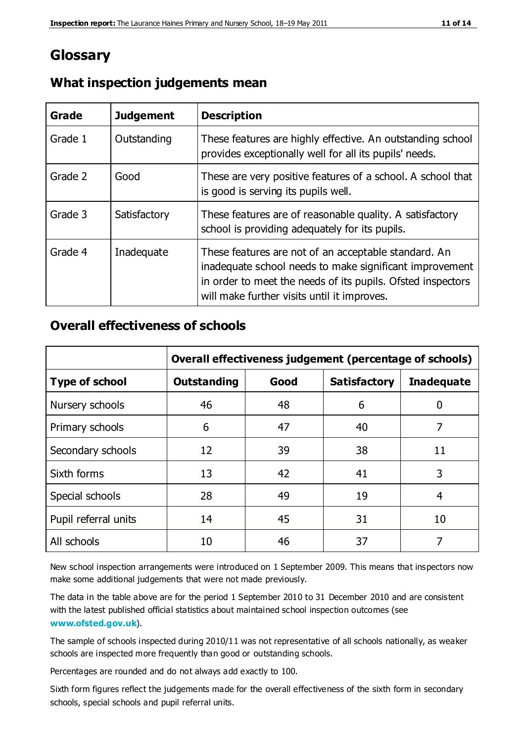# **Glossary**

| Grade   | <b>Judgement</b> | <b>Description</b>                                                                                                                                                                                                            |
|---------|------------------|-------------------------------------------------------------------------------------------------------------------------------------------------------------------------------------------------------------------------------|
| Grade 1 | Outstanding      | These features are highly effective. An outstanding school<br>provides exceptionally well for all its pupils' needs.                                                                                                          |
| Grade 2 | Good             | These are very positive features of a school. A school that<br>is good is serving its pupils well.                                                                                                                            |
| Grade 3 | Satisfactory     | These features are of reasonable quality. A satisfactory<br>school is providing adequately for its pupils.                                                                                                                    |
| Grade 4 | Inadequate       | These features are not of an acceptable standard. An<br>inadequate school needs to make significant improvement<br>in order to meet the needs of its pupils. Ofsted inspectors<br>will make further visits until it improves. |

## **What inspection judgements mean**

## **Overall effectiveness of schools**

|                       | Overall effectiveness judgement (percentage of schools) |      |                     |                   |
|-----------------------|---------------------------------------------------------|------|---------------------|-------------------|
| <b>Type of school</b> | <b>Outstanding</b>                                      | Good | <b>Satisfactory</b> | <b>Inadequate</b> |
| Nursery schools       | 46                                                      | 48   | 6                   |                   |
| Primary schools       | 6                                                       | 47   | 40                  | 7                 |
| Secondary schools     | 12                                                      | 39   | 38                  | 11                |
| Sixth forms           | 13                                                      | 42   | 41                  | 3                 |
| Special schools       | 28                                                      | 49   | 19                  | 4                 |
| Pupil referral units  | 14                                                      | 45   | 31                  | 10                |
| All schools           | 10                                                      | 46   | 37                  |                   |

New school inspection arrangements were introduced on 1 September 2009. This means that inspectors now make some additional judgements that were not made previously.

The data in the table above are for the period 1 September 2010 to 31 December 2010 and are consistent with the latest published official statistics about maintained school inspection outcomes (see **[www.ofsted.gov.uk](http://www.ofsted.gov.uk/)**).

The sample of schools inspected during 2010/11 was not representative of all schools nationally, as weaker schools are inspected more frequently than good or outstanding schools.

Percentages are rounded and do not always add exactly to 100.

Sixth form figures reflect the judgements made for the overall effectiveness of the sixth form in secondary schools, special schools and pupil referral units.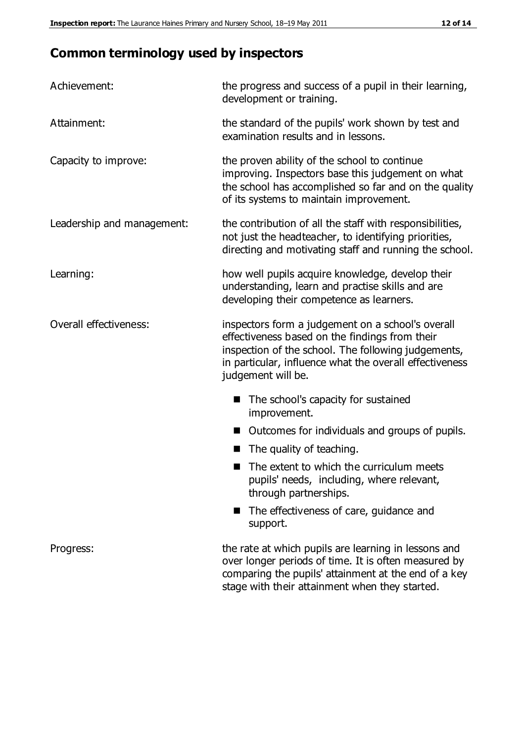# **Common terminology used by inspectors**

| Achievement:               | the progress and success of a pupil in their learning,<br>development or training.                                                                                                                                                          |
|----------------------------|---------------------------------------------------------------------------------------------------------------------------------------------------------------------------------------------------------------------------------------------|
| Attainment:                | the standard of the pupils' work shown by test and<br>examination results and in lessons.                                                                                                                                                   |
| Capacity to improve:       | the proven ability of the school to continue<br>improving. Inspectors base this judgement on what<br>the school has accomplished so far and on the quality<br>of its systems to maintain improvement.                                       |
| Leadership and management: | the contribution of all the staff with responsibilities,<br>not just the headteacher, to identifying priorities,<br>directing and motivating staff and running the school.                                                                  |
| Learning:                  | how well pupils acquire knowledge, develop their<br>understanding, learn and practise skills and are<br>developing their competence as learners.                                                                                            |
| Overall effectiveness:     | inspectors form a judgement on a school's overall<br>effectiveness based on the findings from their<br>inspection of the school. The following judgements,<br>in particular, influence what the overall effectiveness<br>judgement will be. |
|                            | The school's capacity for sustained<br>improvement.                                                                                                                                                                                         |
|                            | Outcomes for individuals and groups of pupils.                                                                                                                                                                                              |
|                            | The quality of teaching.                                                                                                                                                                                                                    |
|                            | The extent to which the curriculum meets<br>pupils' needs, including, where relevant,<br>through partnerships.                                                                                                                              |
|                            | The effectiveness of care, guidance and<br>support.                                                                                                                                                                                         |
| Progress:                  | the rate at which pupils are learning in lessons and<br>over longer periods of time. It is often measured by<br>comparing the pupils' attainment at the end of a key                                                                        |

stage with their attainment when they started.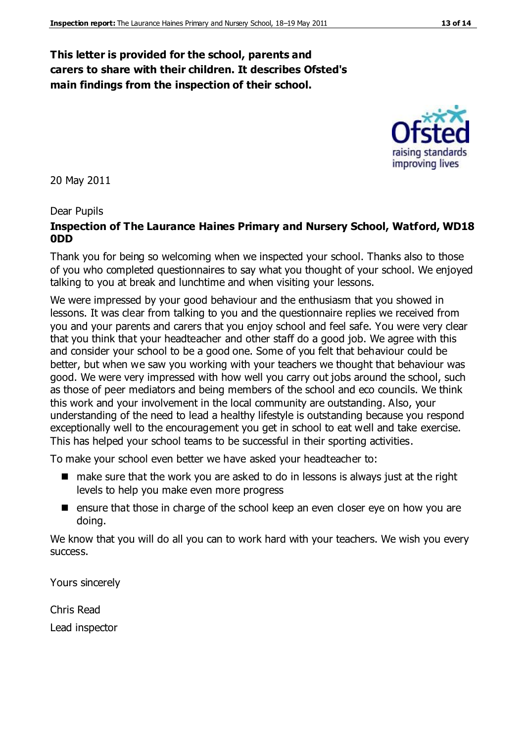## **This letter is provided for the school, parents and carers to share with their children. It describes Ofsted's main findings from the inspection of their school.**

20 May 2011

#### Dear Pupils

#### **Inspection of The Laurance Haines Primary and Nursery School, Watford, WD18 0DD**

Thank you for being so welcoming when we inspected your school. Thanks also to those of you who completed questionnaires to say what you thought of your school. We enjoyed talking to you at break and lunchtime and when visiting your lessons.

We were impressed by your good behaviour and the enthusiasm that you showed in lessons. It was clear from talking to you and the questionnaire replies we received from you and your parents and carers that you enjoy school and feel safe. You were very clear that you think that your headteacher and other staff do a good job. We agree with this and consider your school to be a good one. Some of you felt that behaviour could be better, but when we saw you working with your teachers we thought that behaviour was good. We were very impressed with how well you carry out jobs around the school, such as those of peer mediators and being members of the school and eco councils. We think this work and your involvement in the local community are outstanding. Also, your understanding of the need to lead a healthy lifestyle is outstanding because you respond exceptionally well to the encouragement you get in school to eat well and take exercise. This has helped your school teams to be successful in their sporting activities.

To make your school even better we have asked your headteacher to:

- make sure that the work you are asked to do in lessons is always just at the right levels to help you make even more progress
- **E** ensure that those in charge of the school keep an even closer eye on how you are doing.

We know that you will do all you can to work hard with your teachers. We wish you every success.

Yours sincerely

Chris Read Lead inspector